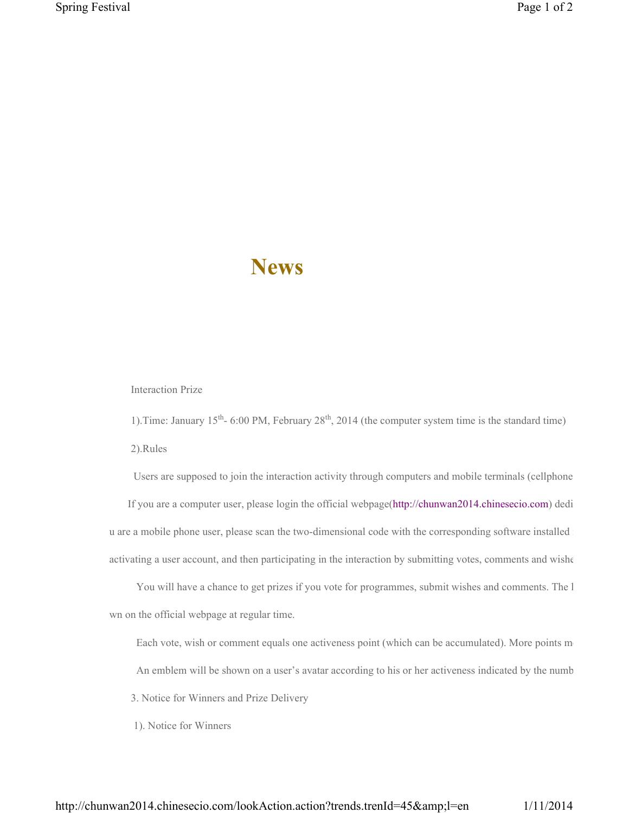## **News**

Interaction Prize

1). Time: January  $15<sup>th</sup> - 6:00$  PM, February  $28<sup>th</sup>$ , 2014 (the computer system time is the standard time) 2).Rules

Users are supposed to join the interaction activity through computers and mobile terminals (cellphone If you are a computer user, please login the official webpage(http://chunwan2014.chinesecio.com) dedi u are a mobile phone user, please scan the two-dimensional code with the corresponding software installed

activating a user account, and then participating in the interaction by submitting votes, comments and wisher

You will have a chance to get prizes if you vote for programmes, submit wishes and comments. The l wn on the official webpage at regular time.

Each vote, wish or comment equals one activeness point (which can be accumulated). More points m

An emblem will be shown on a user's avatar according to his or her activeness indicated by the numb

3. Notice for Winners and Prize Delivery

1). Notice for Winners